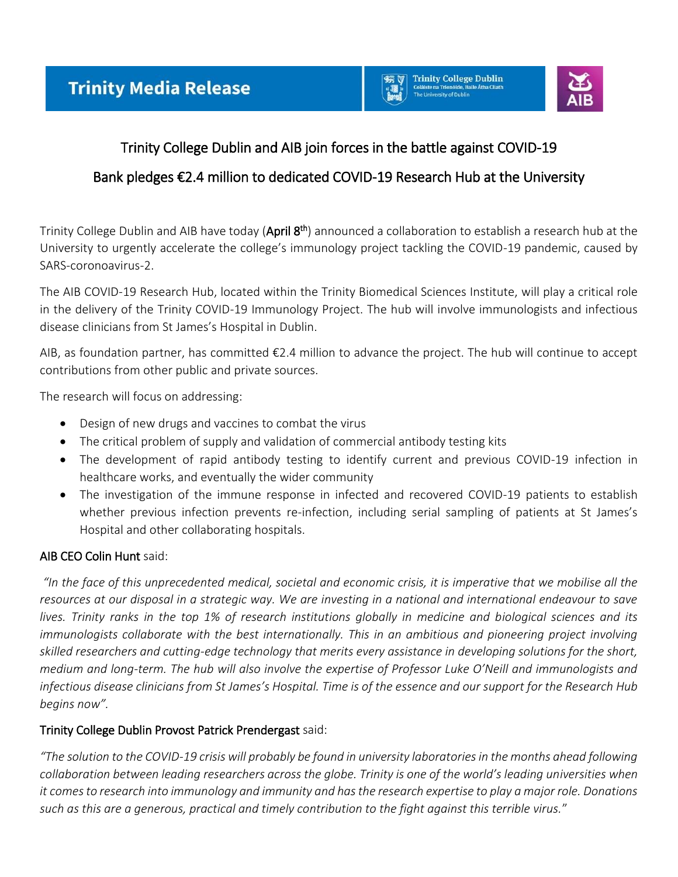



# Trinity College Dublin and AIB join forces in the battle against COVID-19

# Bank pledges €2.4 million to dedicated COVID-19 Research Hub at the University

Trinity College Dublin and AIB have today (**April 8<sup>th</sup>)** announced a collaboration to establish a research hub at the University to urgently accelerate the college's immunology project tackling the COVID-19 pandemic, caused by SARS-coronoavirus-2.

The AIB COVID-19 Research Hub, located within the Trinity Biomedical Sciences Institute, will play a critical role in the delivery of the Trinity COVID-19 Immunology Project. The hub will involve immunologists and infectious disease clinicians from St James's Hospital in Dublin.

AIB, as foundation partner, has committed €2.4 million to advance the project. The hub will continue to accept contributions from other public and private sources.

The research will focus on addressing:

- Design of new drugs and vaccines to combat the virus
- The critical problem of supply and validation of commercial antibody testing kits
- The development of rapid antibody testing to identify current and previous COVID-19 infection in healthcare works, and eventually the wider community
- The investigation of the immune response in infected and recovered COVID-19 patients to establish whether previous infection prevents re-infection, including serial sampling of patients at St James's Hospital and other collaborating hospitals.

## AIB CEO Colin Hunt said:

*"In the face of this unprecedented medical, societal and economic crisis, it is imperative that we mobilise all the resources at our disposal in a strategic way. We are investing in a national and international endeavour to save lives. Trinity ranks in the top 1% of research institutions globally in medicine and biological sciences and its immunologists collaborate with the best internationally. This in an ambitious and pioneering project involving skilled researchers and cutting-edge technology that merits every assistance in developing solutions for the short, medium and long-term. The hub will also involve the expertise of Professor Luke O'Neill and immunologists and infectious disease clinicians from St James's Hospital. Time is of the essence and our support for the Research Hub begins now".* 

## Trinity College Dublin Provost Patrick Prendergast said:

*"The solution to the COVID-19 crisis will probably be found in university laboratories in the months ahead following collaboration between leading researchers across the globe. Trinity is one of the world's leading universities when it comes to research into immunology and immunity and has the research expertise to play a major role. Donations such as this are a generous, practical and timely contribution to the fight against this terrible virus.*"